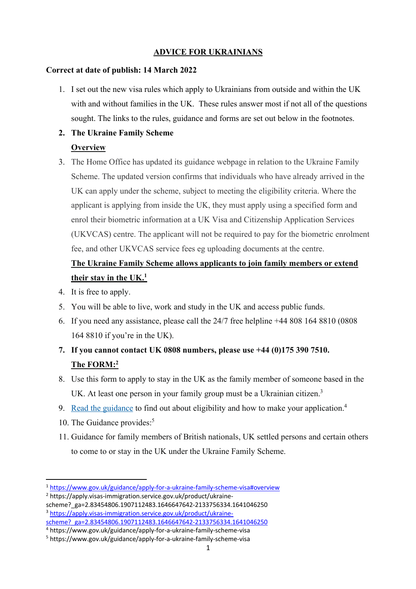## **ADVICE FOR UKRAINIANS**

## **Correct at date of publish: 14 March 2022**

1. I set out the new visa rules which apply to Ukrainians from outside and within the UK with and without families in the UK. These rules answer most if not all of the questions sought. The links to the rules, guidance and forms are set out below in the footnotes.

## **2. The Ukraine Family Scheme**

## **Overview**

3. The Home Office has updated its guidance webpage in relation to the Ukraine Family Scheme. The updated version confirms that individuals who have already arrived in the UK can apply under the scheme, subject to meeting the eligibility criteria. Where the applicant is applying from inside the UK, they must apply using a specified form and enrol their biometric information at a UK Visa and Citizenship Application Services (UKVCAS) centre. The applicant will not be required to pay for the biometric enrolment fee, and other UKVCAS service fees eg uploading documents at the centre.

# **The Ukraine Family Scheme allows applicants to join family members or extend their stay in the UK.1**

- 4. It is free to apply.
- 5. You will be able to live, work and study in the UK and access public funds.
- 6. If you need any assistance, please call the 24/7 free helpline +44 808 164 8810 (0808 164 8810 if you're in the UK).
- **7. If you cannot contact UK 0808 numbers, please use +44 (0)175 390 7510. The FORM:2**
- 8. Use this form to apply to stay in the UK as the family member of someone based in the UK. At least one person in your family group must be a Ukrainian citizen.<sup>3</sup>
- 9. Read the guidance to find out about eligibility and how to make your application.<sup>4</sup>
- 10. The Guidance provides:<sup>5</sup>
- 11. Guidance for family members of British nationals, UK settled persons and certain others to come to or stay in the UK under the Ukraine Family Scheme.

<sup>1</sup> https://www.gov.uk/guidance/apply-for-a-ukraine-family-scheme-visa#overview

<sup>2</sup> https://apply.visas-immigration.service.gov.uk/product/ukraine-

scheme?\_ga=2.83454806.1907112483.1646647642-2133756334.1641046250 <sup>3</sup> https://apply.visas-immigration.service.gov.uk/product/ukrainescheme?\_ga=2.83454806.1907112483.1646647642-2133756334.1641046250

<sup>4</sup> https://www.gov.uk/guidance/apply-for-a-ukraine-family-scheme-visa

<sup>5</sup> https://www.gov.uk/guidance/apply-for-a-ukraine-family-scheme-visa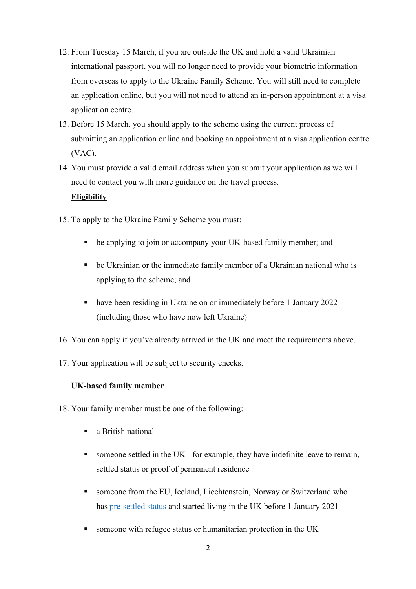- 12. From Tuesday 15 March, if you are outside the UK and hold a valid Ukrainian international passport, you will no longer need to provide your biometric information from overseas to apply to the Ukraine Family Scheme. You will still need to complete an application online, but you will not need to attend an in-person appointment at a visa application centre.
- 13. Before 15 March, you should apply to the scheme using the current process of submitting an application online and booking an appointment at a visa application centre (VAC).
- 14. You must provide a valid email address when you submit your application as we will need to contact you with more guidance on the travel process.

## **Eligibility**

- 15. To apply to the Ukraine Family Scheme you must:
	- be applying to join or accompany your UK-based family member; and
	- be Ukrainian or the immediate family member of a Ukrainian national who is applying to the scheme; and
	- have been residing in Ukraine on or immediately before 1 January 2022 (including those who have now left Ukraine)
- 16. You can apply if you've already arrived in the UK and meet the requirements above.
- 17. Your application will be subject to security checks.

## **UK-based family member**

- 18. Your family member must be one of the following:
	- a British national
	- someone settled in the UK for example, they have indefinite leave to remain, settled status or proof of permanent residence
	- someone from the EU, Iceland, Liechtenstein, Norway or Switzerland who has pre-settled status and started living in the UK before 1 January 2021
	- someone with refugee status or humanitarian protection in the UK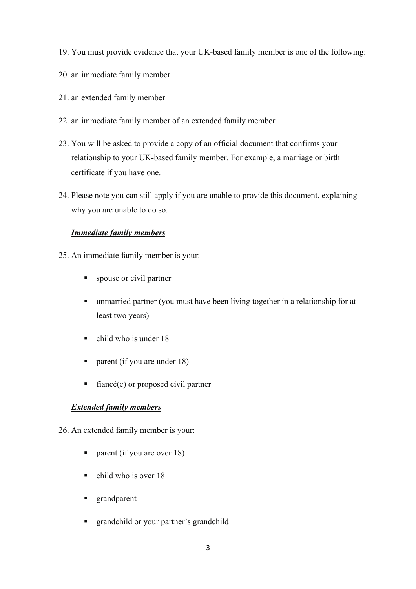- 19. You must provide evidence that your UK-based family member is one of the following:
- 20. an immediate family member
- 21. an extended family member
- 22. an immediate family member of an extended family member
- 23. You will be asked to provide a copy of an official document that confirms your relationship to your UK-based family member. For example, a marriage or birth certificate if you have one.
- 24. Please note you can still apply if you are unable to provide this document, explaining why you are unable to do so.

## *Immediate family members*

- 25. An immediate family member is your:
	- spouse or civil partner
	- unmarried partner (you must have been living together in a relationship for at least two years)
	- $\blacksquare$  child who is under 18
	- parent (if you are under 18)
	- fiancé(e) or proposed civil partner

## *Extended family members*

26. An extended family member is your:

- parent (if you are over 18)
- $\blacksquare$  child who is over 18
- § grandparent
- grandchild or your partner's grandchild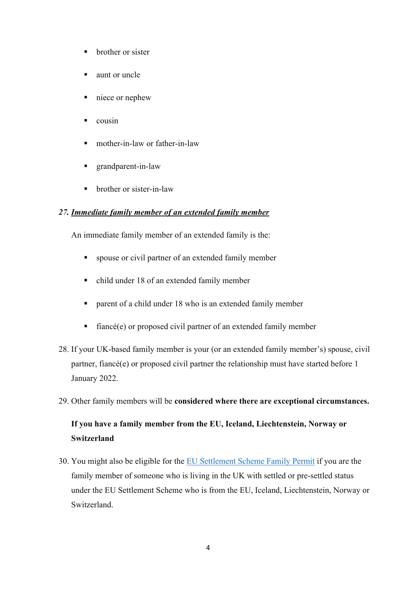- brother or sister
- § aunt or uncle
- niece or nephew
- § cousin
- mother-in-law or father-in-law
- grandparent-in-law
- brother or sister-in-law

### *27. Immediate family member of an extended family member*

An immediate family member of an extended family is the:

- spouse or civil partner of an extended family member
- child under 18 of an extended family member
- parent of a child under 18 who is an extended family member
- fiancé(e) or proposed civil partner of an extended family member
- 28. If your UK-based family member is your (or an extended family member's) spouse, civil partner, fiancé(e) or proposed civil partner the relationship must have started before 1 January 2022.
- 29. Other family members will be **considered where there are exceptional circumstances.**

# **If you have a family member from the EU, Iceland, Liechtenstein, Norway or Switzerland**

30. You might also be eligible for the EU Settlement Scheme Family Permit if you are the family member of someone who is living in the UK with settled or pre-settled status under the EU Settlement Scheme who is from the EU, Iceland, Liechtenstein, Norway or Switzerland.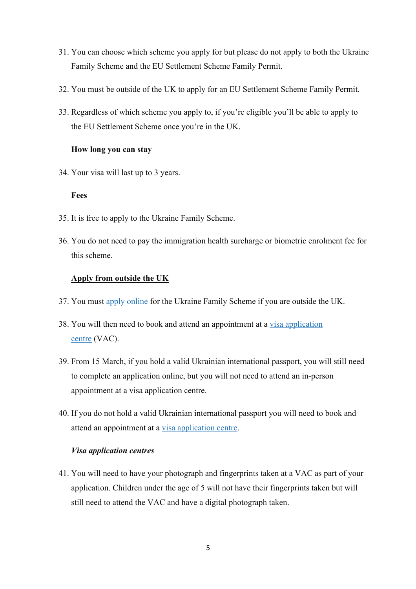- 31. You can choose which scheme you apply for but please do not apply to both the Ukraine Family Scheme and the EU Settlement Scheme Family Permit.
- 32. You must be outside of the UK to apply for an EU Settlement Scheme Family Permit.
- 33. Regardless of which scheme you apply to, if you're eligible you'll be able to apply to the EU Settlement Scheme once you're in the UK.

## **How long you can stay**

34. Your visa will last up to 3 years.

## **Fees**

- 35. It is free to apply to the Ukraine Family Scheme.
- 36. You do not need to pay the immigration health surcharge or biometric enrolment fee for this scheme.

## **Apply from outside the UK**

- 37. You must apply online for the Ukraine Family Scheme if you are outside the UK.
- 38. You will then need to book and attend an appointment at a visa application centre (VAC).
- 39. From 15 March, if you hold a valid Ukrainian international passport, you will still need to complete an application online, but you will not need to attend an in-person appointment at a visa application centre.
- 40. If you do not hold a valid Ukrainian international passport you will need to book and attend an appointment at a visa application centre.

## *Visa application centres*

41. You will need to have your photograph and fingerprints taken at a VAC as part of your application. Children under the age of 5 will not have their fingerprints taken but will still need to attend the VAC and have a digital photograph taken.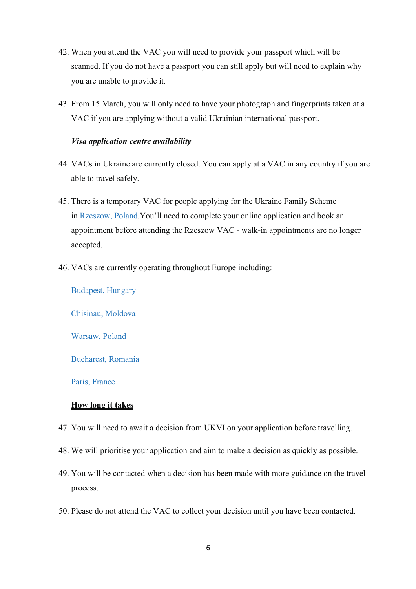- 42. When you attend the VAC you will need to provide your passport which will be scanned. If you do not have a passport you can still apply but will need to explain why you are unable to provide it.
- 43. From 15 March, you will only need to have your photograph and fingerprints taken at a VAC if you are applying without a valid Ukrainian international passport.

#### *Visa application centre availability*

- 44. VACs in Ukraine are currently closed. You can apply at a VAC in any country if you are able to travel safely.
- 45. There is a temporary VAC for people applying for the Ukraine Family Scheme in Rzeszow, Poland.You'll need to complete your online application and book an appointment before attending the Rzeszow VAC - walk-in appointments are no longer accepted.
- 46. VACs are currently operating throughout Europe including:

Budapest, Hungary

Chisinau, Moldova

Warsaw, Poland

#### Bucharest, Romania

#### Paris, France

### **How long it takes**

- 47. You will need to await a decision from UKVI on your application before travelling.
- 48. We will prioritise your application and aim to make a decision as quickly as possible.
- 49. You will be contacted when a decision has been made with more guidance on the travel process.
- 50. Please do not attend the VAC to collect your decision until you have been contacted.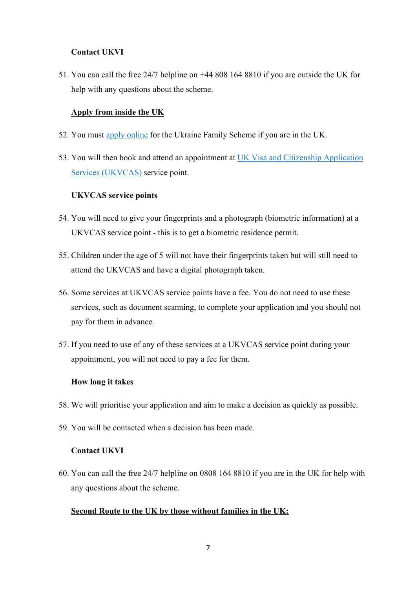## **Contact UKVI**

51. You can call the free 24/7 helpline on +44 808 164 8810 if you are outside the UK for help with any questions about the scheme.

## **Apply from inside the UK**

- 52. You must apply online for the Ukraine Family Scheme if you are in the UK.
- 53. You will then book and attend an appointment at UK Visa and Citizenship Application Services (UKVCAS) service point.

## **UKVCAS service points**

- 54. You will need to give your fingerprints and a photograph (biometric information) at a UKVCAS service point - this is to get a biometric residence permit.
- 55. Children under the age of 5 will not have their fingerprints taken but will still need to attend the UKVCAS and have a digital photograph taken.
- 56. Some services at UKVCAS service points have a fee. You do not need to use these services, such as document scanning, to complete your application and you should not pay for them in advance.
- 57. If you need to use of any of these services at a UKVCAS service point during your appointment, you will not need to pay a fee for them.

### **How long it takes**

- 58. We will prioritise your application and aim to make a decision as quickly as possible.
- 59. You will be contacted when a decision has been made.

### **Contact UKVI**

60. You can call the free 24/7 helpline on 0808 164 8810 if you are in the UK for help with any questions about the scheme.

### **Second Route to the UK by those without families in the UK:**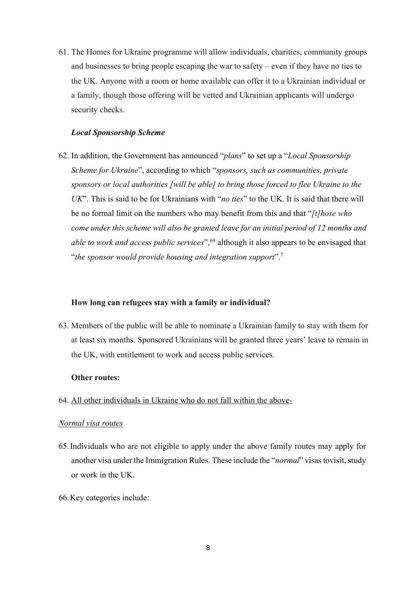61. The Homes for Ukraine programme will allow individuals, charities, community groups and businesses to bring people escaping the war to safety – even if they have no ties to the UK. Anyone with a room or home available can offer it to a Ukrainian individual or a family, though those offering will be vetted and Ukrainian applicants will undergo security checks.

#### *Local Sponsorship Scheme*

62. In addition, the Government has announced "*plans*" to set up a "*Local Sponsorship Scheme for Ukraine*", according to which "*sponsors, such as communities, private sponsors or local authorities [will be able] to bring those forced to flee Ukraine to the UK*". This is said to be for Ukrainians with "*no ties*" to the UK. It is said that there will be no formal limit on the numbers who may benefit from this and that "*[t]hose who come under this scheme will also be granted leave for an initial period of 12 months and able to work and access public services*",<sup>69</sup> although it also appears to be envisaged that "*the sponsor would provide housing and integration support*".7

#### **How long can refugees stay with a family or individual?**

63. Members of the public will be able to nominate a Ukrainian family to stay with them for at least six months. Sponsored Ukrainians will be granted three years' leave to remain in the UK, with entitlement to work and access public services.

#### **Other routes:**

64. All other individuals in Ukraine who do not fall within the above-

#### *Normal visa routes*

- 65.Individuals who are not eligible to apply under the above family routes may apply for another visa under the Immigration Rules. These include the "*normal*" visastovisit, study or work in the UK.
- 66.Key categories include: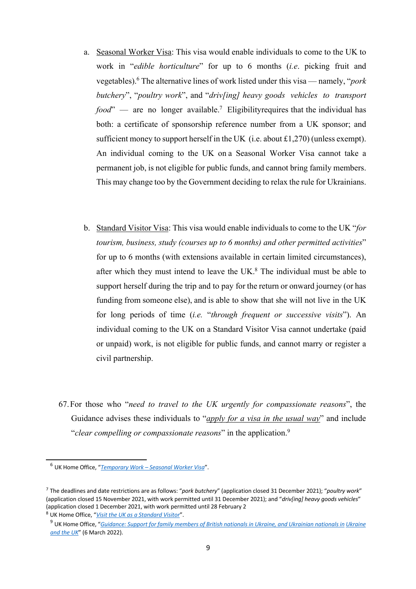- a. Seasonal Worker Visa: This visa would enable individuals to come to the UK to work in "*edible horticulture*" for up to 6 months (*i.e*. picking fruit and vegetables).6 The alternative lines of work listed under this visa — namely, "*pork butchery*", "*poultry work*", and "*driv[ing] heavy goods vehicles to transport food*" — are no longer available.<sup>7</sup> Eligibility requires that the individual has both: a certificate of sponsorship reference number from a UK sponsor; and sufficient money to support herself in the UK (i.e. about  $\pounds$ 1,270) (unless exempt). An individual coming to the UK on a Seasonal Worker Visa cannot take a permanent job, is not eligible for public funds, and cannot bring family members. This may change too by the Government deciding to relax the rule for Ukrainians.
- b. Standard Visitor Visa: This visa would enable individuals to come to the UK "*for tourism, business, study (courses up to 6 months) and other permitted activities*" for up to 6 months (with extensions available in certain limited circumstances), after which they must intend to leave the UK. $8$  The individual must be able to support herself during the trip and to pay for the return or onward journey (or has funding from someone else), and is able to show that she will not live in the UK for long periods of time (*i.e.* "*through frequent or successive visits*"). An individual coming to the UK on a Standard Visitor Visa cannot undertake (paid or unpaid) work, is not eligible for public funds, and cannot marry or register a civil partnership.
- 67.For those who "*need to travel to the UK urgently for compassionate reasons*", the Guidance advises these individuals to "*apply for a visa in the usual way*" and include "*clear compelling or compassionate reasons*" in the application.9

<sup>6</sup> UK Home Office, "*Temporary Work – Seasonal Worker Visa*".

<sup>7</sup> The deadlines and date restrictions are as follows: "*pork butchery*" (application closed 31 December 2021); "*poultry work*" (application closed 15 November 2021, with work permitted until 31 December 2021); and "*driv[ing] heavy goods vehicles*" (application closed 1 December 2021, with work permitted until 28 February 2

<sup>8</sup> UK Home Office, "*Visit the UK as a Standard Visitor*".

<sup>9</sup> UK Home Office, "*Guidance: Support for family members of British nationals in Ukraine, and Ukrainian nationals in Ukraine and the UK*" (6 March 2022).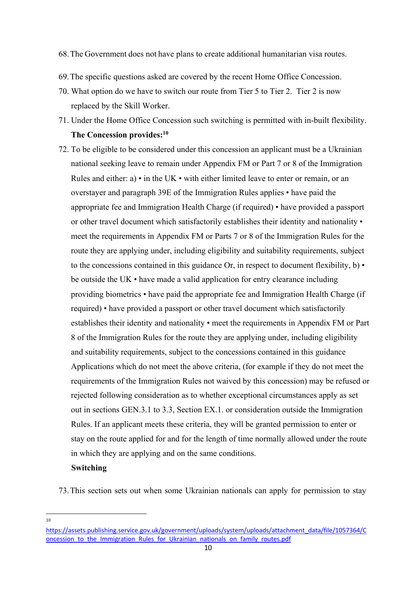#### 68.The Government does not have plans to create additional humanitarian visa routes.

- 69.The specific questions asked are covered by the recent Home Office Concession.
- 70. What option do we have to switch our route from Tier 5 to Tier 2. Tier 2 is now replaced by the Skill Worker.
- 71. Under the Home Office Concession such switching is permitted with in-built flexibility. **The Concession provides:10**
- 72. To be eligible to be considered under this concession an applicant must be a Ukrainian national seeking leave to remain under Appendix FM or Part 7 or 8 of the Immigration Rules and either: a) • in the UK • with either limited leave to enter or remain, or an overstayer and paragraph 39E of the Immigration Rules applies • have paid the appropriate fee and Immigration Health Charge (if required) • have provided a passport or other travel document which satisfactorily establishes their identity and nationality • meet the requirements in Appendix FM or Parts 7 or 8 of the Immigration Rules for the route they are applying under, including eligibility and suitability requirements, subject to the concessions contained in this guidance Or, in respect to document flexibility,  $b) \cdot$ be outside the UK • have made a valid application for entry clearance including providing biometrics • have paid the appropriate fee and Immigration Health Charge (if required) • have provided a passport or other travel document which satisfactorily establishes their identity and nationality • meet the requirements in Appendix FM or Part 8 of the Immigration Rules for the route they are applying under, including eligibility and suitability requirements, subject to the concessions contained in this guidance Applications which do not meet the above criteria, (for example if they do not meet the requirements of the Immigration Rules not waived by this concession) may be refused or rejected following consideration as to whether exceptional circumstances apply as set out in sections GEN.3.1 to 3.3, Section EX.1. or consideration outside the Immigration Rules. If an applicant meets these criteria, they will be granted permission to enter or stay on the route applied for and for the length of time normally allowed under the route in which they are applying and on the same conditions.

## **Switching**

73.This section sets out when some Ukrainian nationals can apply for permission to stay

<sup>10</sup>

https://assets.publishing.service.gov.uk/government/uploads/system/uploads/attachment\_data/file/1057364/C oncession to the Immigration Rules for Ukrainian nationals on family routes.pdf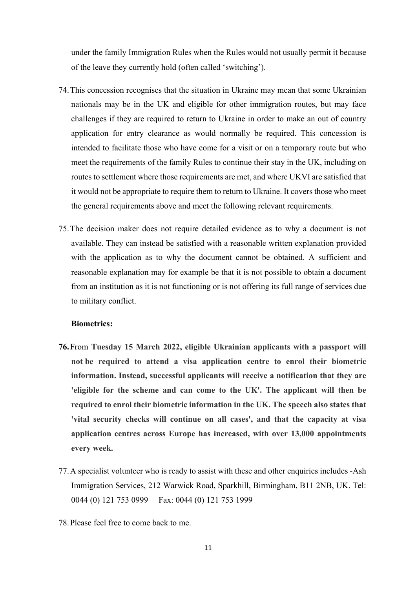under the family Immigration Rules when the Rules would not usually permit it because of the leave they currently hold (often called 'switching').

- 74.This concession recognises that the situation in Ukraine may mean that some Ukrainian nationals may be in the UK and eligible for other immigration routes, but may face challenges if they are required to return to Ukraine in order to make an out of country application for entry clearance as would normally be required. This concession is intended to facilitate those who have come for a visit or on a temporary route but who meet the requirements of the family Rules to continue their stay in the UK, including on routes to settlement where those requirements are met, and where UKVI are satisfied that it would not be appropriate to require them to return to Ukraine. It covers those who meet the general requirements above and meet the following relevant requirements.
- 75.The decision maker does not require detailed evidence as to why a document is not available. They can instead be satisfied with a reasonable written explanation provided with the application as to why the document cannot be obtained. A sufficient and reasonable explanation may for example be that it is not possible to obtain a document from an institution as it is not functioning or is not offering its full range of services due to military conflict.

#### **Biometrics:**

- **76.**From **Tuesday 15 March 2022, eligible Ukrainian applicants with a passport will not be required to attend a visa application centre to enrol their biometric information. Instead, successful applicants will receive a notification that they are 'eligible for the scheme and can come to the UK'. The applicant will then be required to enrol their biometric information in the UK. The speech also states that 'vital security checks will continue on all cases', and that the capacity at visa application centres across Europe has increased, with over 13,000 appointments every week.**
- 77.A specialist volunteer who is ready to assist with these and other enquiries includes -Ash Immigration Services, 212 Warwick Road, Sparkhill, Birmingham, B11 2NB, UK. Tel: 0044 (0) 121 753 0999 Fax: 0044 (0) 121 753 1999
- 78.Please feel free to come back to me.